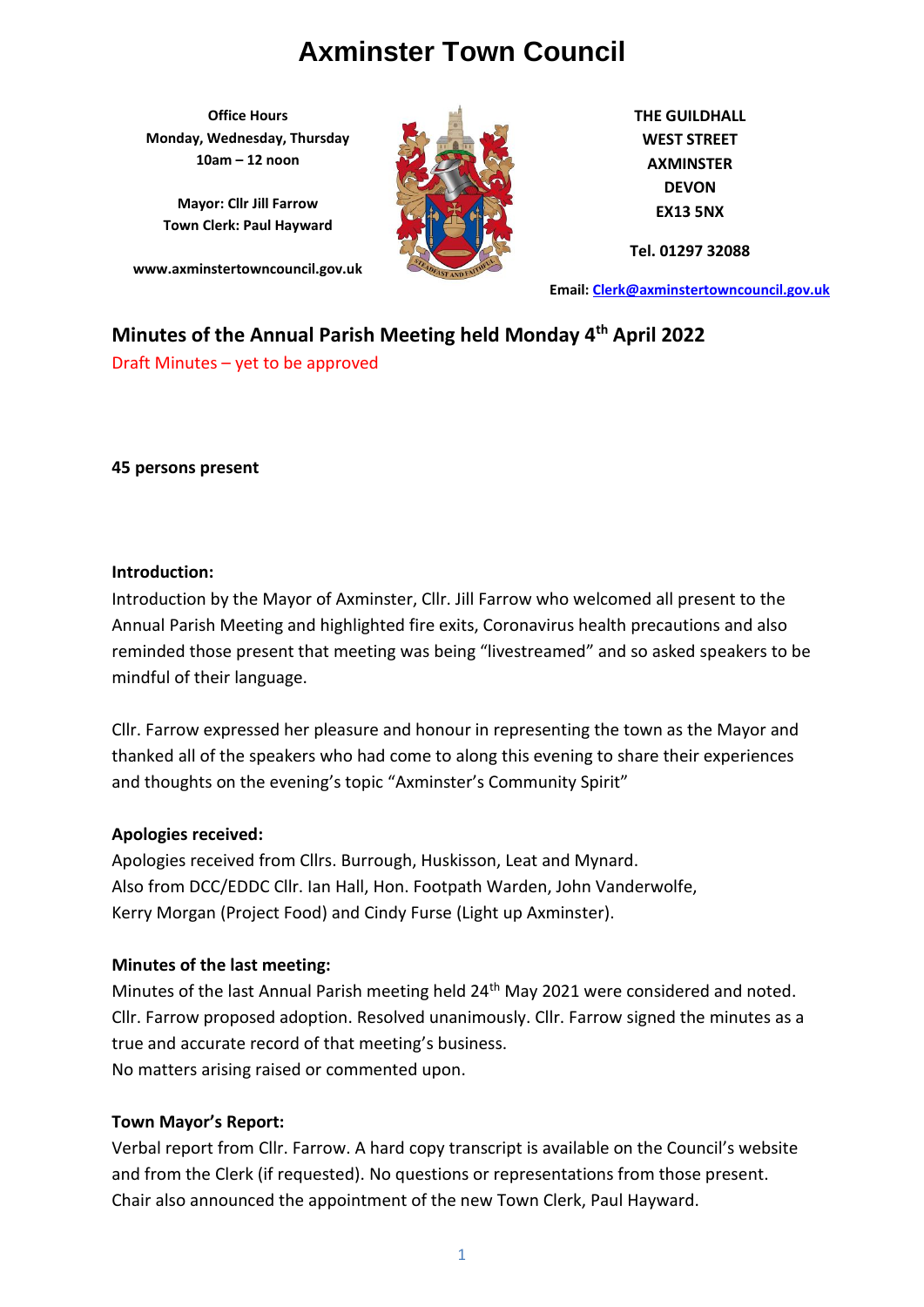**Office Hours Monday, Wednesday, Thursday 10am – 12 noon**

**Mayor: Cllr Jill Farrow Town Clerk: Paul Hayward**

**www.axminstertowncouncil.gov.uk**



**THE GUILDHALL WEST STREET AXMINSTER DEVON EX13 5NX**

**Tel. 01297 32088**

**Email: [Clerk@axminstertowncouncil.gov.uk](file://///axm-svr-1/company/Templates/Clerk@axminstertowncouncil.gov.uk)**

# **Minutes of the Annual Parish Meeting held Monday 4th April 2022**

Draft Minutes – yet to be approved

**45 persons present**

#### **Introduction:**

Introduction by the Mayor of Axminster, Cllr. Jill Farrow who welcomed all present to the Annual Parish Meeting and highlighted fire exits, Coronavirus health precautions and also reminded those present that meeting was being "livestreamed" and so asked speakers to be mindful of their language.

Cllr. Farrow expressed her pleasure and honour in representing the town as the Mayor and thanked all of the speakers who had come to along this evening to share their experiences and thoughts on the evening's topic "Axminster's Community Spirit"

## **Apologies received:**

Apologies received from Cllrs. Burrough, Huskisson, Leat and Mynard. Also from DCC/EDDC Cllr. Ian Hall, Hon. Footpath Warden, John Vanderwolfe, Kerry Morgan (Project Food) and Cindy Furse (Light up Axminster).

## **Minutes of the last meeting:**

Minutes of the last Annual Parish meeting held 24<sup>th</sup> May 2021 were considered and noted. Cllr. Farrow proposed adoption. Resolved unanimously. Cllr. Farrow signed the minutes as a true and accurate record of that meeting's business. No matters arising raised or commented upon.

## **Town Mayor's Report:**

Verbal report from Cllr. Farrow. A hard copy transcript is available on the Council's website and from the Clerk (if requested). No questions or representations from those present. Chair also announced the appointment of the new Town Clerk, Paul Hayward.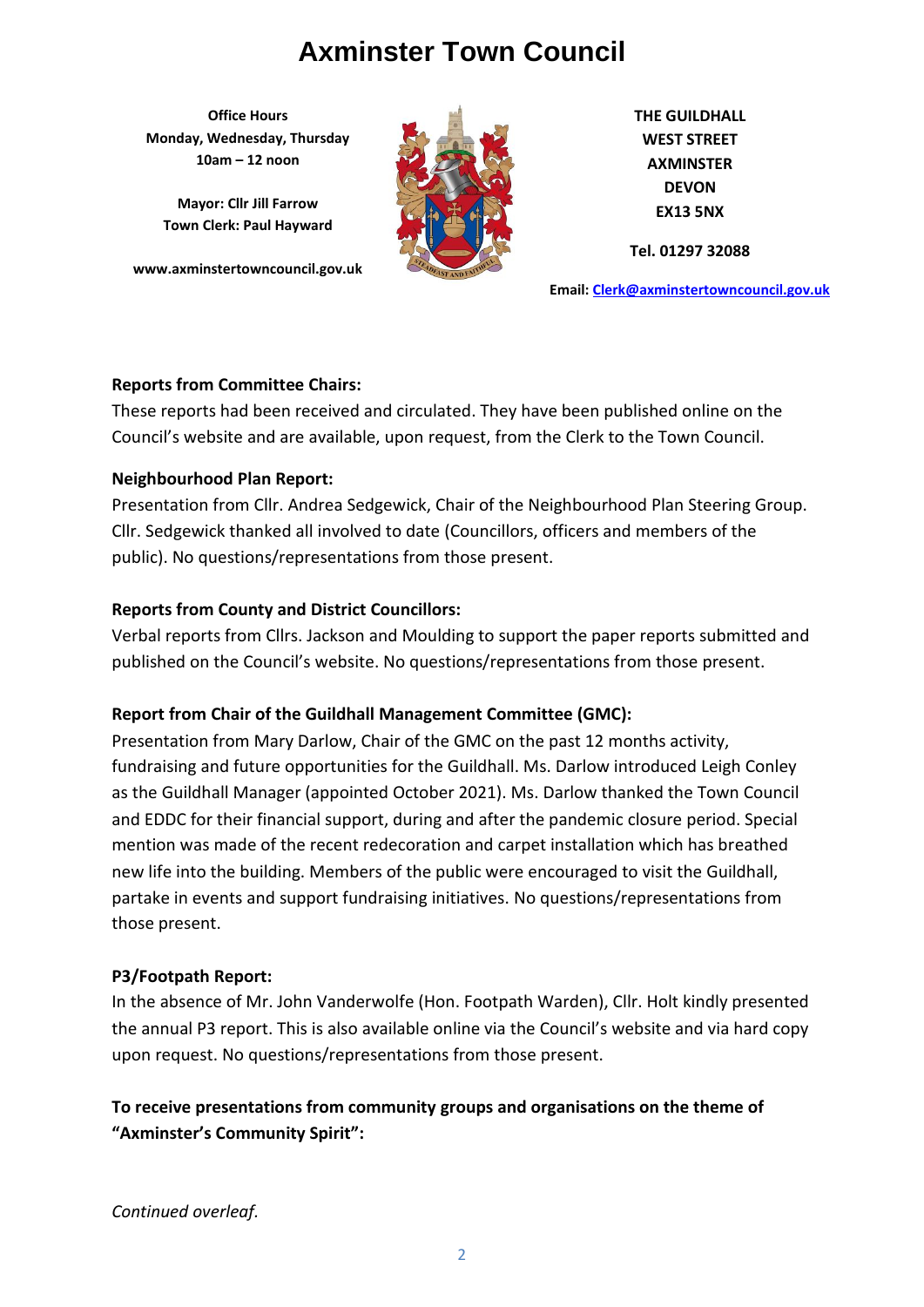**Office Hours Monday, Wednesday, Thursday 10am – 12 noon**

**Mayor: Cllr Jill Farrow Town Clerk: Paul Hayward**

**www.axminstertowncouncil.gov.uk**



**THE GUILDHALL WEST STREET AXMINSTER DEVON EX13 5NX**

**Tel. 01297 32088**

**Email: [Clerk@axminstertowncouncil.gov.uk](file://///axm-svr-1/company/Templates/Clerk@axminstertowncouncil.gov.uk)**

## **Reports from Committee Chairs:**

Council's website and are available, upon request, from the Clerk to the Town Council. These reports had been received and circulated. They have been published online on the

## **Neighbourhood Plan Report:**

Presentation from Cllr. Andrea Sedgewick, Chair of the Neighbourhood Plan Steering Group. Cllr. Sedgewick thanked all involved to date (Councillors, officers and members of the public). No questions/representations from those present.

# **Reports from County and District Councillors:**

Verbal reports from Cllrs. Jackson and Moulding to support the paper reports submitted and published on the Council's website. No questions/representations from those present.

# **Report from Chair of the Guildhall Management Committee (GMC):**

Presentation from Mary Darlow, Chair of the GMC on the past 12 months activity, fundraising and future opportunities for the Guildhall. Ms. Darlow introduced Leigh Conley as the Guildhall Manager (appointed October 2021). Ms. Darlow thanked the Town Council and EDDC for their financial support, during and after the pandemic closure period. Special mention was made of the recent redecoration and carpet installation which has breathed new life into the building. Members of the public were encouraged to visit the Guildhall, partake in events and support fundraising initiatives. No questions/representations from those present.

# **P3/Footpath Report:**

In the absence of Mr. John Vanderwolfe (Hon. Footpath Warden), Cllr. Holt kindly presented the annual P3 report. This is also available online via the Council's website and via hard copy upon request. No questions/representations from those present.

**To receive presentations from community groups and organisations on the theme of "Axminster's Community Spirit":**

*Continued overleaf.*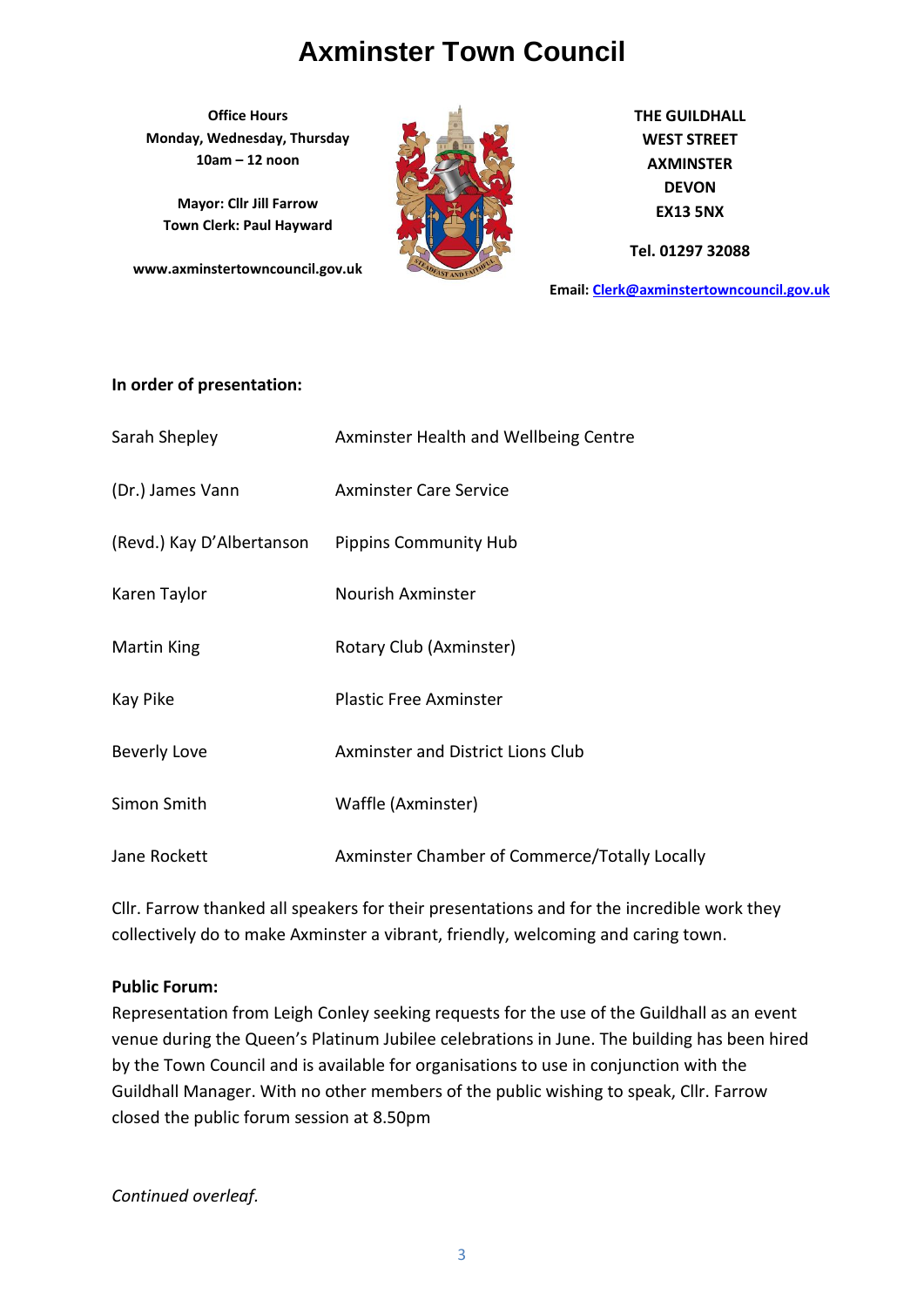**Office Hours Monday, Wednesday, Thursday 10am – 12 noon**

**Mayor: Cllr Jill Farrow Town Clerk: Paul Hayward**

**www.axminstertowncouncil.gov.uk**



**THE GUILDHALL WEST STREET AXMINSTER DEVON EX13 5NX**

**Tel. 01297 32088**

**Email: [Clerk@axminstertowncouncil.gov.uk](file://///axm-svr-1/company/Templates/Clerk@axminstertowncouncil.gov.uk)**

#### **In order of presentation:**

| Sarah Shepley             | Axminster Health and Wellbeing Centre         |
|---------------------------|-----------------------------------------------|
| (Dr.) James Vann          | <b>Axminster Care Service</b>                 |
| (Revd.) Kay D'Albertanson | <b>Pippins Community Hub</b>                  |
| Karen Taylor              | <b>Nourish Axminster</b>                      |
| Martin King               | Rotary Club (Axminster)                       |
| Kay Pike                  | <b>Plastic Free Axminster</b>                 |
| Beverly Love              | <b>Axminster and District Lions Club</b>      |
| Simon Smith               | Waffle (Axminster)                            |
| Jane Rockett              | Axminster Chamber of Commerce/Totally Locally |

Cllr. Farrow thanked all speakers for their presentations and for the incredible work they collectively do to make Axminster a vibrant, friendly, welcoming and caring town.

#### **Public Forum:**

Representation from Leigh Conley seeking requests for the use of the Guildhall as an event venue during the Queen's Platinum Jubilee celebrations in June. The building has been hired by the Town Council and is available for organisations to use in conjunction with the Guildhall Manager. With no other members of the public wishing to speak, Cllr. Farrow closed the public forum session at 8.50pm

*Continued overleaf.*